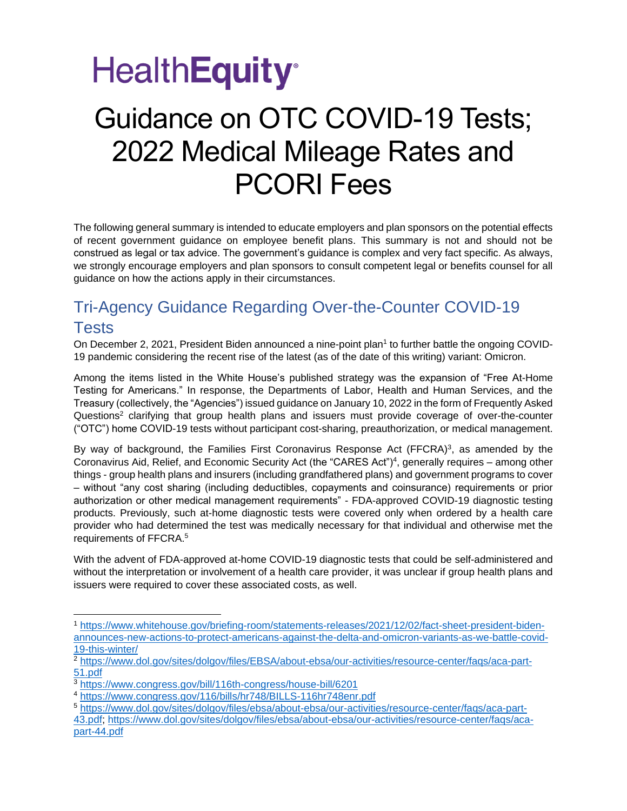### **HealthEquity**<sup>®</sup>

### Guidance on OTC COVID-19 Tests; 2022 Medical Mileage Rates and PCORI Fees

The following general summary is intended to educate employers and plan sponsors on the potential effects of recent government guidance on employee benefit plans. This summary is not and should not be construed as legal or tax advice. The government's guidance is complex and very fact specific. As always, we strongly encourage employers and plan sponsors to consult competent legal or benefits counsel for all guidance on how the actions apply in their circumstances.

### Tri-Agency Guidance Regarding Over-the-Counter COVID-19 **Tests**

On December 2, 2021, President Biden announced a nine-point plan<sup>1</sup> to further battle the ongoing COVID-19 pandemic considering the recent rise of the latest (as of the date of this writing) variant: Omicron.

Among the items listed in the White House's published strategy was the expansion of "Free At-Home Testing for Americans." In response, the Departments of Labor, Health and Human Services, and the Treasury (collectively, the "Agencies") issued guidance on January 10, 2022 in the form of Frequently Asked Questions<sup>2</sup> clarifying that group health plans and issuers must provide coverage of over-the-counter ("OTC") home COVID-19 tests without participant cost-sharing, preauthorization, or medical management.

By way of background, the Families First Coronavirus Response Act (FFCRA)<sup>3</sup>, as amended by the Coronavirus Aid, Relief, and Economic Security Act (the "CARES Act")<sup>4</sup> , generally requires – among other things - group health plans and insurers (including grandfathered plans) and government programs to cover – without "any cost sharing (including deductibles, copayments and coinsurance) requirements or prior authorization or other medical management requirements" - FDA-approved COVID-19 diagnostic testing products. Previously, such at-home diagnostic tests were covered only when ordered by a health care provider who had determined the test was medically necessary for that individual and otherwise met the requirements of FFCRA.<sup>5</sup>

With the advent of FDA-approved at-home COVID-19 diagnostic tests that could be self-administered and without the interpretation or involvement of a health care provider, it was unclear if group health plans and issuers were required to cover these associated costs, as well.

<sup>1</sup> [https://www.whitehouse.gov/briefing-room/statements-releases/2021/12/02/fact-sheet-president-biden](https://www.whitehouse.gov/briefing-room/statements-releases/2021/12/02/fact-sheet-president-biden-announces-new-actions-to-protect-americans-against-the-delta-and-omicron-variants-as-we-battle-covid-19-this-winter/)[announces-new-actions-to-protect-americans-against-the-delta-and-omicron-variants-as-we-battle-covid-](https://www.whitehouse.gov/briefing-room/statements-releases/2021/12/02/fact-sheet-president-biden-announces-new-actions-to-protect-americans-against-the-delta-and-omicron-variants-as-we-battle-covid-19-this-winter/)[19-this-winter/](https://www.whitehouse.gov/briefing-room/statements-releases/2021/12/02/fact-sheet-president-biden-announces-new-actions-to-protect-americans-against-the-delta-and-omicron-variants-as-we-battle-covid-19-this-winter/)

<sup>2</sup> [https://www.dol.gov/sites/dolgov/files/EBSA/about-ebsa/our-activities/resource-center/faqs/aca-part-](https://www.dol.gov/sites/dolgov/files/EBSA/about-ebsa/our-activities/resource-center/faqs/aca-part-51.pdf)[51.pdf](https://www.dol.gov/sites/dolgov/files/EBSA/about-ebsa/our-activities/resource-center/faqs/aca-part-51.pdf)

<sup>3</sup> <https://www.congress.gov/bill/116th-congress/house-bill/6201>

<sup>4</sup> <https://www.congress.gov/116/bills/hr748/BILLS-116hr748enr.pdf>

<sup>5</sup> [https://www.dol.gov/sites/dolgov/files/ebsa/about-ebsa/our-activities/resource-center/faqs/aca-part-](https://www.dol.gov/sites/dolgov/files/ebsa/about-ebsa/our-activities/resource-center/faqs/aca-part-43.pdf)[43.pdf;](https://www.dol.gov/sites/dolgov/files/ebsa/about-ebsa/our-activities/resource-center/faqs/aca-part-43.pdf) [https://www.dol.gov/sites/dolgov/files/ebsa/about-ebsa/our-activities/resource-center/faqs/aca](https://www.dol.gov/sites/dolgov/files/ebsa/about-ebsa/our-activities/resource-center/faqs/aca-part-44.pdf)[part-44.pdf](https://www.dol.gov/sites/dolgov/files/ebsa/about-ebsa/our-activities/resource-center/faqs/aca-part-44.pdf)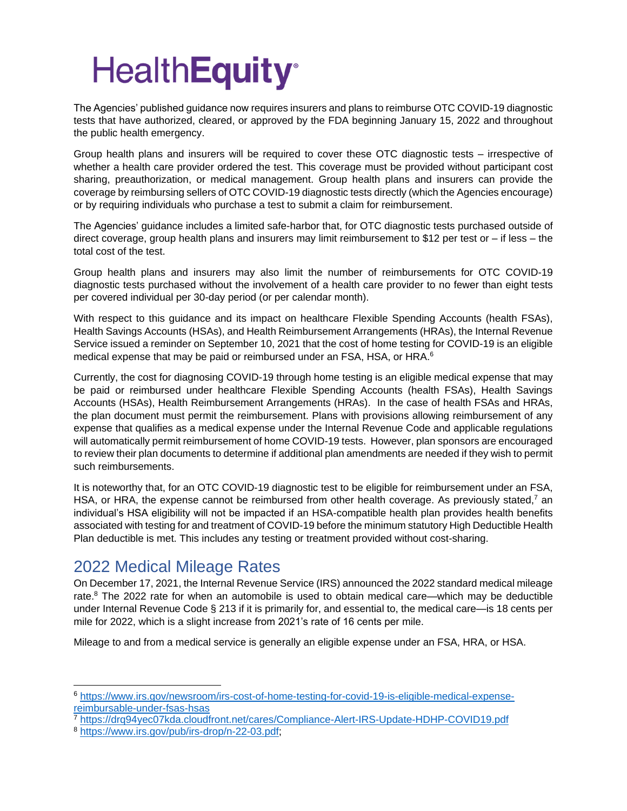# **HealthEquity®**

The Agencies' published guidance now requires insurers and plans to reimburse OTC COVID-19 diagnostic tests that have authorized, cleared, or approved by the FDA beginning January 15, 2022 and throughout the public health emergency.

Group health plans and insurers will be required to cover these OTC diagnostic tests – irrespective of whether a health care provider ordered the test. This coverage must be provided without participant cost sharing, preauthorization, or medical management. Group health plans and insurers can provide the coverage by reimbursing sellers of OTC COVID-19 diagnostic tests directly (which the Agencies encourage) or by requiring individuals who purchase a test to submit a claim for reimbursement.

The Agencies' guidance includes a limited safe-harbor that, for OTC diagnostic tests purchased outside of direct coverage, group health plans and insurers may limit reimbursement to \$12 per test or – if less – the total cost of the test.

Group health plans and insurers may also limit the number of reimbursements for OTC COVID-19 diagnostic tests purchased without the involvement of a health care provider to no fewer than eight tests per covered individual per 30-day period (or per calendar month).

With respect to this guidance and its impact on healthcare Flexible Spending Accounts (health FSAs), Health Savings Accounts (HSAs), and Health Reimbursement Arrangements (HRAs), the Internal Revenue Service issued a reminder on September 10, 2021 that the cost of home testing for COVID-19 is an eligible medical expense that may be paid or reimbursed under an FSA, HSA, or HRA.<sup>6</sup>

Currently, the cost for diagnosing COVID-19 through home testing is an eligible medical expense that may be paid or reimbursed under healthcare Flexible Spending Accounts (health FSAs), Health Savings Accounts (HSAs), Health Reimbursement Arrangements (HRAs). In the case of health FSAs and HRAs, the plan document must permit the reimbursement. Plans with provisions allowing reimbursement of any expense that qualifies as a medical expense under the Internal Revenue Code and applicable regulations will automatically permit reimbursement of home COVID-19 tests. However, plan sponsors are encouraged to review their plan documents to determine if additional plan amendments are needed if they wish to permit such reimbursements.

It is noteworthy that, for an OTC COVID-19 diagnostic test to be eligible for reimbursement under an FSA, HSA, or HRA, the expense cannot be reimbursed from other health coverage. As previously stated, $7$  an individual's HSA eligibility will not be impacted if an HSA-compatible health plan provides health benefits associated with testing for and treatment of COVID-19 before the minimum statutory High Deductible Health Plan deductible is met. This includes any testing or treatment provided without cost-sharing.

#### 2022 Medical Mileage Rates

On December 17, 2021, the Internal Revenue Service (IRS) announced the 2022 standard medical mileage rate. $8$  The 2022 rate for when an automobile is used to obtain medical care—which may be deductible under Internal Revenue Code § 213 if it is primarily for, and essential to, the medical care—is 18 cents per mile for 2022, which is a slight increase from 2021's rate of 16 cents per mile.

Mileage to and from a medical service is generally an eligible expense under an FSA, HRA, or HSA.

<sup>7</sup> <https://drq94yec07kda.cloudfront.net/cares/Compliance-Alert-IRS-Update-HDHP-COVID19.pdf>

<sup>6</sup> [https://www.irs.gov/newsroom/irs-cost-of-home-testing-for-covid-19-is-eligible-medical-expense](https://www.irs.gov/newsroom/irs-cost-of-home-testing-for-covid-19-is-eligible-medical-expense-reimbursable-under-fsas-hsas)[reimbursable-under-fsas-hsas](https://www.irs.gov/newsroom/irs-cost-of-home-testing-for-covid-19-is-eligible-medical-expense-reimbursable-under-fsas-hsas)

<sup>8</sup> [https://www.irs.gov/pub/irs-drop/n-22-03.pdf;](https://www.irs.gov/pub/irs-drop/n-22-03.pdf)